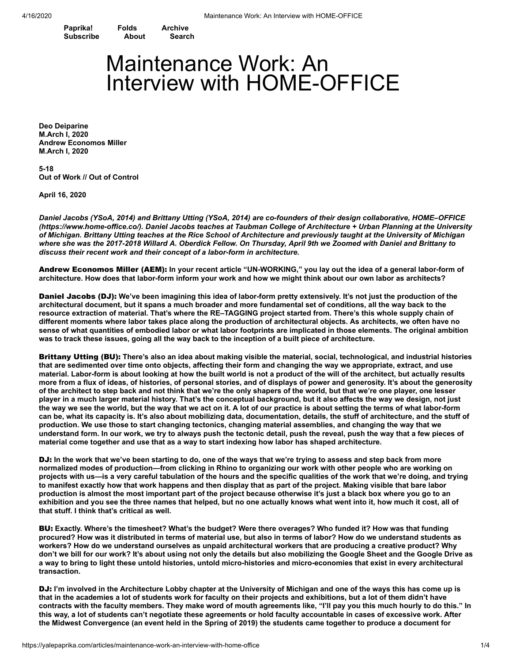**[Paprika!](https://yalepaprika.com/) [Folds](https://yalepaprika.com/folds) [Archive](https://yalepaprika.com/archive) [Subscribe](https://yalepaprika.com/subscribe) [About](https://yalepaprika.com/about) [Search](https://yalepaprika.com/search)**

## Maintenance Work: An Interview with HOME-OFFICE

**Deo [Deiparine](https://yalepaprika.com/contributors/deo-deiparine) M.Arch I, 2020 Andrew [Economos](https://yalepaprika.com/contributors/andrew-miller) Miller M.Arch I, 2020**

**5-18 Out of Work // Out of Control**

**April 16, 2020**

Daniel Jacobs (YSoA, 2014) and Brittany Utting (YSoA, 2014) are co-founders of their design collaborative, HOME-OFFICE (https://www.home-office.co/). Daniel Jacobs teaches at Taubman College of Architecture + Urban Planning at the University of Michigan. Brittany Utting teaches at the Rice School of Architecture and previously taught at the University of Michigan where she was the 2017-2018 Willard A. Oberdick Fellow. On Thursday. April 9th we Zoomed with Daniel and Brittany to *discuss their recent work and their concept of a labor-form in architecture.*

Andrew Economos Miller (AEM): **In your recent article "UN-WORKING," you lay out the idea of a general labor-form of** architecture. How does that labor-form inform your work and how we might think about our own labor as architects?

Daniel Jacobs (DJ): We've been imagining this idea of labor-form pretty extensively. It's not just the production of the architectural document, but it spans a much broader and more fundamental set of conditions, all the way back to the resource extraction of material. That's where the RE-TAGGING project started from. There's this whole supply chain of different moments where labor takes place along the production of architectural objects. As architects, we often have no sense of what quantities of embodied labor or what labor footprints are implicated in those elements. The original ambition was to track these issues, going all the way back to the inception of a built piece of architecture.

Brittany Utting (BU): **There's also an idea about making visible the material, social, technological, and industrial histories** that are sedimented over time onto objects, affecting their form and changing the way we appropriate, extract, and use material. Labor-form is about looking at how the built world is not a product of the will of the architect, but actually results more from a flux of ideas, of histories, of personal stories, and of displays of power and generosity. It's about the generosity of the architect to step back and not think that we're the only shapers of the world, but that we're one player, one lesser player in a much larger material history. That's the conceptual background, but it also affects the way we design, not just the way we see the world, but the way that we act on it. A lot of our practice is about setting the terms of what labor-form can be, what its capacity is. It's also about mobilizing data, documentation, details, the stuff of architecture, and the stuff of production. We use those to start changing tectonics, changing material assemblies, and changing the way that we understand form. In our work, we try to always push the tectonic detail, push the reveal, push the way that a few pieces of **material come together and use that as a way to start indexing how labor has shaped architecture.**

DJ: In the work that we've been starting to do, one of the ways that we're trying to assess and step back from more normalized modes of production—from clicking in Rhino to organizing our work with other people who are working on projects with us—is a very careful tabulation of the hours and the specific qualities of the work that we're doing, and trying to manifest exactly how that work happens and then display that as part of the project. Making visible that bare labor production is almost the most important part of the project because otherwise it's just a black box where you go to an exhibition and you see the three names that helped, but no one actually knows what went into it, how much it cost, all of **that stuff. I think that's critical as well.**

BU: Exactly. Where's the timesheet? What's the budget? Were there overages? Who funded it? How was that funding procured? How was it distributed in terms of material use, but also in terms of labor? How do we understand students as workers? How do we understand ourselves as unpaid architectural workers that are producing a creative product? Why don't we bill for our work? It's about using not only the details but also mobilizing the Google Sheet and the Google Drive as a way to bring to light these untold histories, untold micro-histories and micro-economies that exist in every architectural **transaction.**

DJ: I'm involved in the Architecture Lobby chapter at the University of Michigan and one of the ways this has come up is that in the academies a lot of students work for faculty on their projects and exhibitions, but a lot of them didn't have contracts with the faculty members. They make word of mouth agreements like, "I'll pay you this much hourly to do this." In this way, a lot of students can't negotiate these agreements or hold faculty accountable in cases of excessive work. After the Midwest Convergence (an event held in the Spring of 2019) the students came together to produce a document for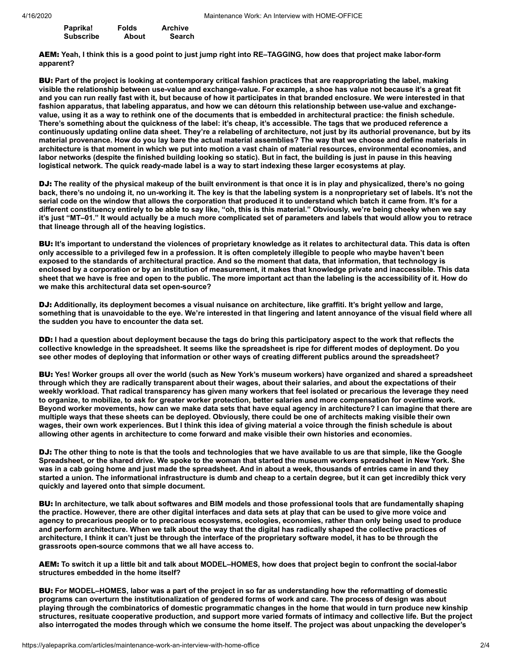| Paprika!         | Folds | <b>Archive</b> |
|------------------|-------|----------------|
| <b>Subscribe</b> | About | <b>Search</b>  |

AEM: Yeah, I think this is a good point to just jump right into RE-TAGGING, how does that project make labor-form **apparent?**

BU: Part of the project is looking at contemporary critical fashion practices that are reappropriating the label, making visible the relationship between use-value and exchange-value. For example, a shoe has value not because it's a great fit and you can run really fast with it, but because of how it participates in that branded enclosure. We were interested in that fashion apparatus, that labeling apparatus, and how we can détourn this relationship between use-value and exchangevalue, using it as a way to rethink one of the documents that is embedded in architectural practice; the finish schedule, There's something about the quickness of the label: it's cheap, it's accessible. The tags that we produced reference a continuously updating online data sheet. They're a relabeling of architecture, not just by its authorial provenance, but by its material provenance. How do you lay bare the actual material assemblies? The way that we choose and define materials in architecture is that moment in which we put into motion a vast chain of material resources, environmental economies, and labor networks (despite the finished building looking so static). But in fact, the building is just in pause in this heaving logistical network. The quick ready-made label is a way to start indexing these larger ecosystems at play.

DJ: The reality of the physical makeup of the built environment is that once it is in play and physicalized, there's no going back, there's no undoing it, no un-working it. The key is that the labeling system is a nonproprietary set of labels, It's not the serial code on the window that allows the corporation that produced it to understand which batch it came from. It's for a different constituency entirely to be able to say like, "oh, this is this material." Obviously, we're being cheeky when we say it's just "MT-01." It would actually be a much more complicated set of parameters and labels that would allow you to retrace **that lineage through all of the heaving logistics.**

BU: It's important to understand the violences of proprietary knowledge as it relates to architectural data. This data is often only accessible to a privileged few in a profession. It is often completely illegible to people who maybe haven't been exposed to the standards of architectural practice. And so the moment that data, that information, that technology is enclosed by a corporation or by an institution of measurement, it makes that knowledge private and inaccessible. This data sheet that we have is free and open to the public. The more important act than the labeling is the accessibility of it. How do **we make this architectural data set open-source?**

DJ: Additionally, its deployment becomes a visual nuisance on architecture, like graffiti, It's bright vellow and large. something that is unavoidable to the eye. We're interested in that lingering and latent annoyance of the visual field where all **the sudden you have to encounter the data set.**

DD: I had a question about deployment because the tags do bring this participatory aspect to the work that reflects the collective knowledge in the spreadsheet. It seems like the spreadsheet is ripe for different modes of deployment. Do you see other modes of deploying that information or other ways of creating different publics around the spreadsheet?

BU: Yes! Worker groups all over the world (such as New York's museum workers) have organized and shared a spreadsheet through which they are radically transparent about their wages, about their salaries, and about the expectations of their weekly workload. That radical transparency has given many workers that feel isolated or precarious the leverage they need to organize, to mobilize, to ask for greater worker protection, better salaries and more compensation for overtime work. Bevond worker movements, how can we make data sets that have equal agency in architecture? I can imagine that there are multiple ways that these sheets can be deployed. Obviously, there could be one of architects making visible their own wages, their own work experiences. But I think this idea of giving material a voice through the finish schedule is about **allowing other agents in architecture to come forward and make visible their own histories and economies.**

DJ: The other thing to note is that the tools and technologies that we have available to us are that simple, like the Google Spreadsheet, or the shared drive. We spoke to the woman that started the museum workers spreadsheet in New York. She was in a cab going home and just made the spreadsheet. And in about a week, thousands of entries came in and they started a union. The informational infrastructure is dumb and cheap to a certain degree, but it can get incredibly thick very **quickly and layered onto that simple document.**

BU: In architecture, we talk about softwares and BIM models and those professional tools that are fundamentally shaping the practice. However, there are other digital interfaces and data sets at play that can be used to give more voice and agency to precarious people or to precarious ecosystems, ecologies, economies, rather than only being used to produce and perform architecture. When we talk about the way that the digital has radically shaped the collective practices of architecture, I think it can't just be through the interface of the proprietary software model, it has to be through the **grassroots open-source commons that we all have access to.**

AEM: To switch it up a little bit and talk about MODEL-HOMES, how does that project begin to confront the social-labor **structures embedded in the home itself?**

BU: For MODEL-HOMES, labor was a part of the project in so far as understanding how the reformatting of domestic programs can overturn the institutionalization of gendered forms of work and care. The process of design was about playing through the combinatorics of domestic programmatic changes in the home that would in turn produce new kinship structures, resituate cooperative production, and support more varied formats of intimacy and collective life. But the project also interrogated the modes through which we consume the home itself. The project was about unpacking the developer's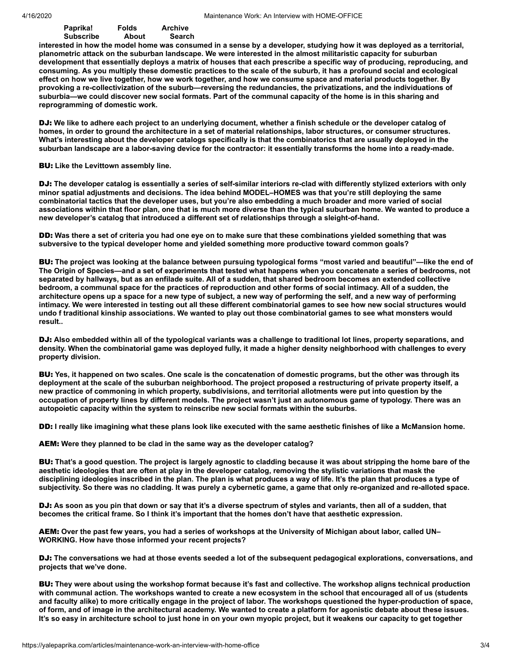## **catalog and its associated architectures: the showroom and the vitrine. It was important for us to look at how we could** subscribe About Search About About About the Subscriber of the Subscriber of the Subscriber of the About About **[Paprika!](https://yalepaprika.com/) [Folds](https://yalepaprika.com/folds) [Archive](https://yalepaprika.com/archive) [Subscribe](https://yalepaprika.com/subscribe) [About](https://yalepaprika.com/about) [Search](https://yalepaprika.com/search)**

interested in how the model home was consumed in a sense by a developer, studying how it was deployed as a territorial, planometric attack on the suburban landscape. We were interested in the almost militaristic capacity for suburban development that essentially deploys a matrix of houses that each prescribe a specific way of producing, reproducing, and consuming. As you multiply these domestic practices to the scale of the suburb, it has a profound social and ecological effect on how we live together, how we work together, and how we consume space and material products together. By **provoking a re-collectivization of the suburb—reversing the redundancies, the privatizations, and the individuations of** suburbia—we could discover new social formats. Part of the communal capacity of the home is in this sharing and **reprogramming of domestic work.**

DJ: We like to adhere each project to an underlying document, whether a finish schedule or the developer catalog of homes, in order to ground the architecture in a set of material relationships, labor structures, or consumer structures. What's interesting about the developer catalogs specifically is that the combinatorics that are usually deployed in the suburban landscape are a labor-saving device for the contractor: it essentially transforms the home into a ready-made.

## BU: **Like the Levittown assembly line.**

DJ: The developer catalog is essentially a series of self-similar interiors re-clad with differently stylized exteriors with only **minor spatial adjustments and decisions. The idea behind MODEL–HOMES was that you're still deploying the same** combinatorial tactics that the developer uses, but you're also embedding a much broader and more varied of social associations within that floor plan, one that is much more diverse than the typical suburban home. We wanted to produce a **new developer's catalog that introduced a different set of relationships through a sleight-of-hand.**

DD: Was there a set of criteria you had one eye on to make sure that these combinations yielded something that was **subversive to the typical developer home and yielded something more productive toward common goals?**

BU: The project was looking at the balance between pursuing typological forms "most varied and beautiful"—like the end of The Origin of Species—and a set of experiments that tested what happens when you concatenate a series of bedrooms, not separated by hallways, but as an enfilade suite. All of a sudden, that shared bedroom becomes an extended collective bedroom, a communal space for the practices of reproduction and other forms of social intimacy. All of a sudden, the architecture opens up a space for a new type of subject, a new way of performing the self, and a new way of performing intimacy. We were interested in testing out all these different combinatorial games to see how new social structures would undo f traditional kinship associations. We wanted to play out those combinatorial games to see what monsters would **result..**

DJ: Also embedded within all of the typological variants was a challenge to traditional lot lines, property separations, and density. When the combinatorial game was deployed fully, it made a higher density neighborhood with challenges to every **property division.**

BU: Yes, it happened on two scales. One scale is the concatenation of domestic programs, but the other was through its deployment at the scale of the suburban neighborhood. The project proposed a restructuring of private property itself, a new practice of commoning in which property, subdivisions, and territorial allotments were put into question by the occupation of property lines by different models. The project wasn't just an autonomous game of typology. There was an **autopoietic capacity within the system to reinscribe new social formats within the suburbs.**

DD: I really like imagining what these plans look like executed with the same aesthetic finishes of like a McMansion home.

AEM: **Were they planned to be clad in the same way as the developer catalog?**

BU: That's a good question. The project is largely agnostic to cladding because it was about stripping the home bare of the aesthetic ideologies that are often at play in the developer catalog, removing the stylistic variations that mask the disciplining ideologies inscribed in the plan. The plan is what produces a way of life. It's the plan that produces a type of subjectivity. So there was no cladding. It was purely a cybernetic game, a game that only re-organized and re-alloted space.

DJ: As soon as you pin that down or say that it's a diverse spectrum of styles and variants, then all of a sudden, that becomes the critical frame. So I think it's important that the homes don't have that aesthetic expression.

AEM: Over the past few years, you had a series of workshops at the University of Michigan about labor, called UN-**WORKING. How have those informed your recent projects?**

DJ: The conversations we had at those events seeded a lot of the subsequent pedagogical explorations, conversations, and **projects that we've done.**

BU: They were about using the workshop format because it's fast and collective. The workshop aligns technical production with communal action. The workshops wanted to create a new ecosystem in the school that encouraged all of us (students and faculty alike) to more critically engage in the project of labor. The workshops questioned the hyper-production of space, of form, and of image in the architectural academy. We wanted to create a platform for agonistic debate about these issues. It's so easy in architecture school to just hone in on your own myopic project, but it weakens our capacity to get together